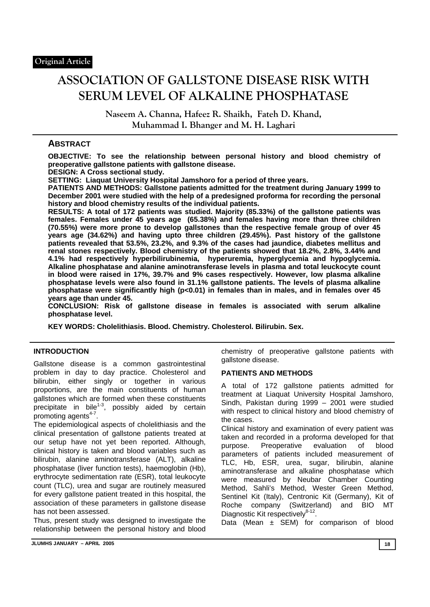# **ASSOCIATION OF GALLSTONE DISEASE RISK WITH SERUM LEVEL OF ALKALINE PHOSPHATASE**

**Naseem A. Channa, Hafeez R. Shaikh, Fateh D. Khand, Muhammad I. Bhanger and M. H. Laghari** 

# **ABSTRACT**

**OBJECTIVE: To see the relationship between personal history and blood chemistry of preoperative gallstone patients with gallstone disease.** 

**DESIGN: A Cross sectional study.** 

**SETTING: Liaquat University Hospital Jamshoro for a period of three years.** 

**PATIENTS AND METHODS: Gallstone patients admitted for the treatment during January 1999 to December 2001 were studied with the help of a predesigned proforma for recording the personal history and blood chemistry results of the individual patients.** 

**RESULTS: A total of 172 patients was studied. Majority (85.33%) of the gallstone patients was females. Females under 45 years age (65.38%) and females having more than three children (70.55%) were more prone to develop gallstones than the respective female group of over 45 years age (34.62%) and having upto three children (29.45%). Past history of the gallstone patients revealed that 53.5%, 23.2%, and 9.3% of the cases had jaundice, diabetes mellitus and renal stones respectively. Blood chemistry of the patients showed that 18.2%, 2.8%, 3.44% and 4.1% had respectively hyperbilirubinemia, hyperuremia, hyperglycemia and hypoglycemia. Alkaline phosphatase and alanine aminotransferase levels in plasma and total leuckocyte count in blood were raised in 17%, 39.7% and 9% cases respectively. However, low plasma alkaline phosphatase levels were also found in 31.1% gallstone patients. The levels of plasma alkaline phosphatase were significantly high (p<0.01) in females than in males, and in females over 45 years age than under 45.** 

**CONCLUSION: Risk of gallstone disease in females is associated with serum alkaline phosphatase level.** 

**KEY WORDS: Cholelithiasis. Blood. Chemistry. Cholesterol. Bilirubin. Sex.** 

### **INTRODUCTION**

Gallstone disease is a common gastrointestinal problem in day to day practice. Cholesterol and bilirubin, either singly or together in various proportions, are the main constituents of human gallstones which are formed when these constituents precipitate in bile<sup>1-3</sup>, possibly aided by certain promoting agents<sup>4-7</sup>.

The epidemiological aspects of cholelithiasis and the clinical presentation of gallstone patients treated at our setup have not yet been reported. Although, clinical history is taken and blood variables such as bilirubin, alanine aminotransferase (ALT), alkaline phosphatase (liver function tests), haemoglobin (Hb), erythrocyte sedimentation rate (ESR), total leukocyte count (TLC), urea and sugar are routinely measured for every gallstone patient treated in this hospital, the association of these parameters in gallstone disease has not been assessed.

Thus, present study was designed to investigate the relationship between the personal history and blood chemistry of preoperative gallstone patients with gallstone disease.

#### **PATIENTS AND METHODS**

A total of 172 gallstone patients admitted for treatment at Liaquat University Hospital Jamshoro, Sindh, Pakistan during 1999 – 2001 were studied with respect to clinical history and blood chemistry of the cases.

Clinical history and examination of every patient was taken and recorded in a proforma developed for that purpose. Preoperative evaluation of blood parameters of patients included measurement of TLC, Hb, ESR, urea, sugar, bilirubin, alanine aminotransferase and alkaline phosphatase which were measured by Neubar Chamber Counting Method, Sahli's Method, Wester Green Method, Sentinel Kit (Italy), Centronic Kit (Germany), Kit of Roche company (Switzerland) and BIO MT Diagnostic Kit respectivelv<sup>8-12</sup>.

Data (Mean  $\pm$  SEM) for comparison of blood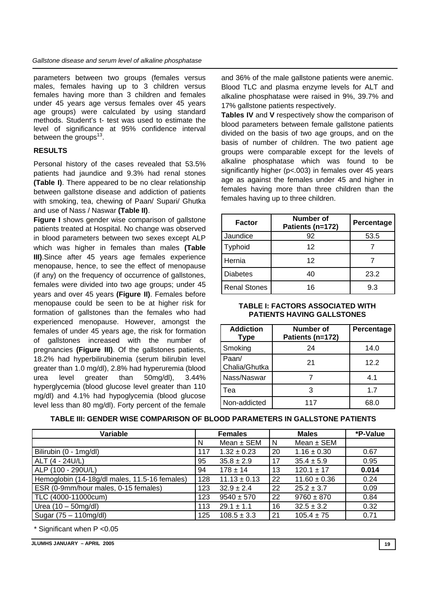parameters between two groups (females versus males, females having up to 3 children versus females having more than 3 children and females under 45 years age versus females over 45 years age groups) were calculated by using standard methods. Student's t- test was used to estimate the level of significance at 95% confidence interval between the groups<sup>13</sup>.

## **RESULTS**

Personal history of the cases revealed that 53.5% patients had jaundice and 9.3% had renal stones **(Table I)**. There appeared to be no clear relationship between gallstone disease and addiction of patients with smoking, tea, chewing of Paan/ Supari/ Ghutka and use of Nass / Naswar **(Table II)**.

**Figure I** shows gender wise comparison of gallstone patients treated at Hospital. No change was observed in blood parameters between two sexes except ALP which was higher in females than males **(Table III)**.Since after 45 years age females experience menopause, hence, to see the effect of menopause (if any) on the frequency of occurrence of gallstones, females were divided into two age groups; under 45 years and over 45 years **(Figure II)**. Females before menopause could be seen to be at higher risk for formation of gallstones than the females who had experienced menopause. However, amongst the females of under 45 years age, the risk for formation of gallstones increased with the number of pregnancies **(Figure III)**. Of the gallstones patients, 18.2% had hyperbilirubinemia (serum bilirubin level greater than 1.0 mg/dl), 2.8% had hyperuremia (blood urea level greater than 50mg/dl), 3.44% hyperglycemia (blood glucose level greater than 110 mg/dl) and 4.1% had hypoglycemia (blood glucose level less than 80 mg/dl). Forty percent of the female

and 36% of the male gallstone patients were anemic. Blood TLC and plasma enzyme levels for ALT and alkaline phosphatase were raised in 9%, 39.7% and 17% gallstone patients respectively.

**Tables IV** and **V** respectively show the comparison of blood parameters between female gallstone patients divided on the basis of two age groups, and on the basis of number of children. The two patient age groups were comparable except for the levels of alkaline phosphatase which was found to be significantly higher (p<.003) in females over 45 years age as against the females under 45 and higher in females having more than three children than the females having up to three children.

| <b>Factor</b>       | Number of<br>Patients (n=172) | Percentage |  |
|---------------------|-------------------------------|------------|--|
| Jaundice            | 92                            | 53.5       |  |
| Typhoid             | 12                            |            |  |
| Hernia              | 12                            |            |  |
| <b>Diabetes</b>     | 40                            | 23.2       |  |
| <b>Renal Stones</b> | 16                            | 9.3        |  |

#### **TABLE I: FACTORS ASSOCIATED WITH PATIENTS HAVING GALLSTONES**

| <b>Addiction</b><br><b>Type</b> | Number of<br>Patients (n=172) | Percentage |
|---------------------------------|-------------------------------|------------|
| Smoking                         | 24                            | 14.0       |
| Paan/<br>Chalia/Ghutka          | 21                            | 12.2       |
| Nass/Naswar                     |                               | 4.1        |
| Tea                             | З                             | 1.7        |
| Non-addicted                    | 117                           | 68.0       |

### **TABLE III: GENDER WISE COMPARISON OF BLOOD PARAMETERS IN GALLSTONE PATIENTS**

| Variable                                      | <b>Females</b> |                  | <b>Males</b> |                  | *P-Value |
|-----------------------------------------------|----------------|------------------|--------------|------------------|----------|
|                                               | N              | Mean $\pm$ SEM   | N            | Mean $\pm$ SEM   |          |
| Bilirubin (0 - 1mg/dl)                        | 117            | $1.32 \pm 0.23$  | 20           | $1.16 \pm 0.30$  | 0.67     |
| ALT (4 - 24U/L)                               | 95             | $35.8 \pm 2.9$   | 17           | $35.4 \pm 5.9$   | 0.95     |
| ALP (100 - 290U/L)                            | 94             | $178 \pm 14$     | 13           | $120.1 \pm 17$   | 0.014    |
| Hemoglobin (14-18g/dl males, 11.5-16 females) | 128            | $11.13 \pm 0.13$ | 22           | $11.60 \pm 0.36$ | 0.24     |
| ESR (0-9mm/hour males, 0-15 females)          | 123            | $32.9 \pm 2.4$   | 22           | $25.2 \pm 3.7$   | 0.09     |
| TLC (4000-11000cum)                           | 123            | $9540 \pm 570$   | 22           | $9760 \pm 870$   | 0.84     |
| Urea $(10 - 50$ mg/dl)                        | 113            | $29.1 \pm 1.1$   | 16           | $32.5 \pm 3.2$   | 0.32     |
| Sugar (75 - 110mg/dl)                         | 125            | $108.5 \pm 3.3$  | 21           | $105.4 \pm 75$   | 0.71     |

\* Significant when P <0.05

**JLUMHS JANUARY – APRIL 2005 19**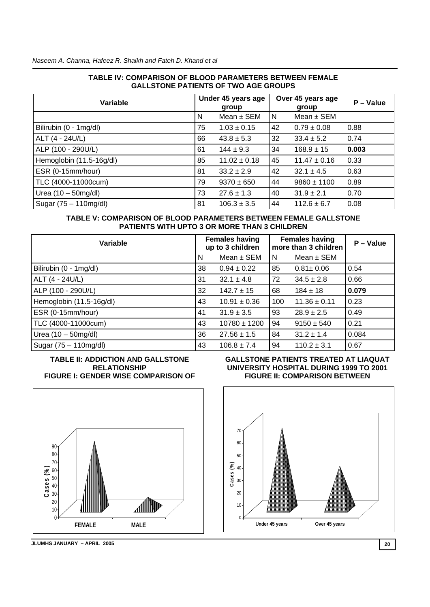#### **TABLE IV: COMPARISON OF BLOOD PARAMETERS BETWEEN FEMALE GALLSTONE PATIENTS OF TWO AGE GROUPS**

| Variable                 | Under 45 years age<br>group |                  | Over 45 years age<br>group |                  | $P - Value$ |
|--------------------------|-----------------------------|------------------|----------------------------|------------------|-------------|
|                          | N                           | Mean $\pm$ SEM   | I N                        | Mean $\pm$ SEM   |             |
| Bilirubin (0 - 1mg/dl)   | 75                          | $1.03 \pm 0.15$  | 42                         | $0.79 \pm 0.08$  | 0.88        |
| ALT (4 - 24U/L)          | 66                          | $43.8 \pm 5.3$   | 32                         | $33.4 \pm 5.2$   | 0.74        |
| ALP (100 - 290U/L)       | 61                          | $144 \pm 9.3$    | 34                         | $168.9 \pm 15$   | 0.003       |
| Hemoglobin (11.5-16g/dl) | 85                          | $11.02 \pm 0.18$ | 45                         | $11.47 \pm 0.16$ | 0.33        |
| ESR (0-15mm/hour)        | 81                          | $33.2 \pm 2.9$   | 42                         | $32.1 \pm 4.5$   | 0.63        |
| TLC (4000-11000cum)      | 79                          | $9370 \pm 650$   | 44                         | $9860 \pm 1100$  | 0.89        |
| Urea $(10 - 50$ mg/dl)   | 73                          | $27.6 \pm 1.3$   | 40                         | $31.9 \pm 2.1$   | 0.70        |
| Sugar (75 – 110mg/dl)    | 81                          | $106.3 \pm 3.5$  | 44                         | $112.6 \pm 6.7$  | 0.08        |

### **TABLE V: COMPARISON OF BLOOD PARAMETERS BETWEEN FEMALE GALLSTONE PATIENTS WITH UPTO 3 OR MORE THAN 3 CHILDREN**

| Variable                 |    | <b>Females having</b><br>up to 3 children |     | <b>Females having</b><br>more than 3 children | $P - Value$ |
|--------------------------|----|-------------------------------------------|-----|-----------------------------------------------|-------------|
|                          | N  | Mean $\pm$ SEM                            | N   | Mean $\pm$ SEM                                |             |
| Bilirubin (0 - 1mg/dl)   | 38 | $0.94 \pm 0.22$                           | 85  | $0.81 \pm 0.06$                               | 0.54        |
| ALT (4 - 24U/L)          | 31 | $32.1 \pm 4.8$                            | 72  | $34.5 \pm 2.8$                                | 0.66        |
| ALP (100 - 290U/L)       | 32 | $142.7 \pm 15$                            | 68  | $184 \pm 18$                                  | 0.079       |
| Hemoglobin (11.5-16g/dl) | 43 | $10.91 \pm 0.36$                          | 100 | $11.36 \pm 0.11$                              | 0.23        |
| ESR (0-15mm/hour)        | 41 | $31.9 \pm 3.5$                            | 93  | $28.9 \pm 2.5$                                | 0.49        |
| TLC (4000-11000cum)      | 43 | $10780 \pm 1200$                          | 94  | $9150 \pm 540$                                | 0.21        |
| Urea $(10 - 50$ mg/dl)   | 36 | $27.56 \pm 1.5$                           | 84  | $31.2 \pm 1.4$                                | 0.084       |
| Sugar (75 - 110mg/dl)    | 43 | $106.8 \pm 7.4$                           | 94  | $110.2 \pm 3.1$                               | 0.67        |

#### **TABLE II: ADDICTION AND GALLSTONE RELATIONSHIP FIGURE I: GENDER WISE COMPARISON OF**



**JLUMHS JANUARY – APRIL 2005 20** 

#### **GALLSTONE PATIENTS TREATED AT LIAQUAT UNIVERSITY HOSPITAL DURING 1999 TO 2001 FIGURE II: COMPARISON BETWEEN**

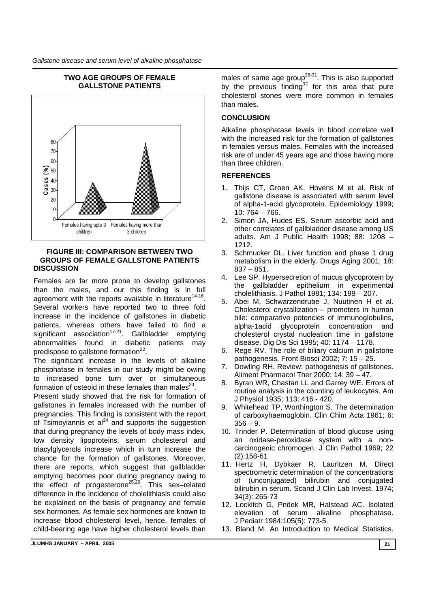

# **TWO AGE GROUPS OF FEMALE**

#### **FIGURE III: COMPARISON BETWEEN TWO GROUPS OF FEMALE GALLSTONE PATIENTS DISCUSSION**

Females are far more prone to develop gallstones than the males, and our this finding is in full agreement with the reports available in literature<sup>14-16</sup>. Several workers have reported two to three fold increase in the incidence of gallstones in diabetic patients, whereas others have failed to find a significant association<sup>17-21</sup>. Gallbladder emptying abnormalities found in diabetic patients may predispose to gallstone formation<sup>22</sup>.

The significant increase in the levels of alkaline phosphatase in females in our study might be owing to increased bone turn over or simultaneous formation of osteoid in these females than males $^{23}$ .

Present study showed that the risk for formation of gallstones in females increased with the number of pregnancies. This finding is consistent with the report of Tsimoviannis et  $al^{24}$  and supports the suggestion that during pregnancy the levels of body mass index, low density lipoproteins, serum cholesterol and triacylglycerols increase which in turn increase the chance for the formation of gallstones. Moreover, there are reports, which suggest that gallbladder emptying becomes poor during pregnancy owing to the effect of progesterone<sup>25,26</sup>. This sex-related difference in the incidence of cholelithiasis could also be explained on the basis of pregnancy and female sex hormones. As female sex hormones are known to increase blood cholesterol level, hence, females of child-bearing age have higher cholesterol levels than

males of same age group<sup>26-31</sup>. This is also supported by the previous finding $32$  for this area that pure cholesterol stones were more common in females than males.

# **CONCLUSION**

Alkaline phosphatase levels in blood correlate well with the increased risk for the formation of gallstones in females versus males. Females with the increased risk are of under 45 years age and those having more than three children.

# **REFERENCES**

- 1. Thijs CT, Groen AK, Hovens M et al. Risk of gallstone disease is associated with serum level of alpha-1-acid glycoprotein. Epidemiology 1999; 10: 764 – 766.
- 2. Simon JA, Hudes ES. Serum ascorbic acid and other correlates of gallbladder disease among US adults. Am J Public Health 1998; 88: 1208 – 1212.
- 3. Schmucker DL. Liver function and phase 1 drug metabolism in the elderly. Drugs Aging 2001; 18:  $837 - 851$ .
- 4. Lee SP. Hypersecretion of mucus glycoprotein by the gallbladder epithelium in experimental cholelithiasis. J Pathol 1981; 134: 199 – 207.
- 5. Abei M, Schwarzendrube J, Nuutinen H et al. Cholesterol crystallization – promoters in human bile: comparative potencies of immunoglobulins, alpha-1acid glycoprotein concentration and cholesterol crystal nucleation time in gallstone disease. Dig Dis Sci 1995; 40: 1174 – 1178.
- 6. Rege RV. The role of biliary calcium in gallstone pathogenesis. Front Biosci 2002; 7: 15 – 25.
- 7. Dowling RH. Review: pathogenesis of gallstones. Aliment Pharmacol Ther 2000; 14: 39 – 47.
- 8. Byran WR, Chastan LL and Garrey WE. Errors of routine analysis in the counting of leukocytes. Am J Physiol 1935; 113: 416 - 420.
- 9. Whitehead TP, Worthington S. The determination of carboxyhaemoglobin. Clin Chim Acta 1961; 6:  $356 - 9.$
- 10. Trinder P. Determination of blood glucose using an oxidase-peroxidase system with a noncarcinogenic chromogen. J Clin Pathol 1969; 22 (2):158-61
- 11. Hertz H, Dybkaer R, Lauritzen M. Direct spectrometric determination of the concentrations of (unconjugated) bilirubin and conjugated bilirubin in serum. Scand J Clin Lab Invest. 1974; 34(3): 265-73
- 12. Lockitch G, Pndek MR, Halstead AC. Isolated elevation of serum alkaline phosphatase. J Pediatr 1984;105(5): 773-5.
- 13. Bland M. An Introduction to Medical Statistics.

**JLUMHS JANUARY – APRIL 2005 21**